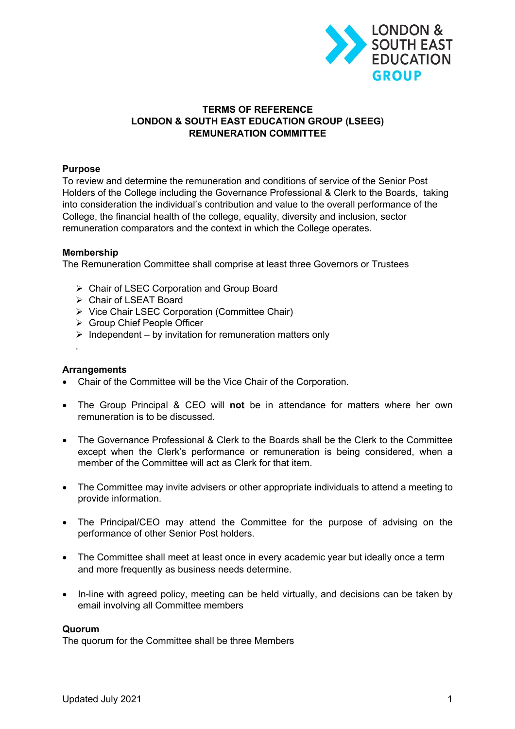

# **TERMS OF REFERENCE LONDON & SOUTH EAST EDUCATION GROUP (LSEEG) REMUNERATION COMMITTEE**

## **Purpose**

To review and determine the remuneration and conditions of service of the Senior Post Holders of the College including the Governance Professional & Clerk to the Boards, taking into consideration the individual's contribution and value to the overall performance of the College, the financial health of the college, equality, diversity and inclusion, sector remuneration comparators and the context in which the College operates.

## **Membership**

The Remuneration Committee shall comprise at least three Governors or Trustees

- $\triangleright$  Chair of LSEC Corporation and Group Board
- Ø Chair of LSEAT Board
- Ø Vice Chair LSEC Corporation (Committee Chair)
- Ø Group Chief People Officer
- $\triangleright$  Independent by invitation for remuneration matters only

## **Arrangements**

.

- Chair of the Committee will be the Vice Chair of the Corporation.
- The Group Principal & CEO will **not** be in attendance for matters where her own remuneration is to be discussed.
- The Governance Professional & Clerk to the Boards shall be the Clerk to the Committee except when the Clerk's performance or remuneration is being considered, when a member of the Committee will act as Clerk for that item.
- The Committee may invite advisers or other appropriate individuals to attend a meeting to provide information.
- The Principal/CEO may attend the Committee for the purpose of advising on the performance of other Senior Post holders.
- The Committee shall meet at least once in every academic year but ideally once a term and more frequently as business needs determine.
- In-line with agreed policy, meeting can be held virtually, and decisions can be taken by email involving all Committee members

## **Quorum**

The quorum for the Committee shall be three Members